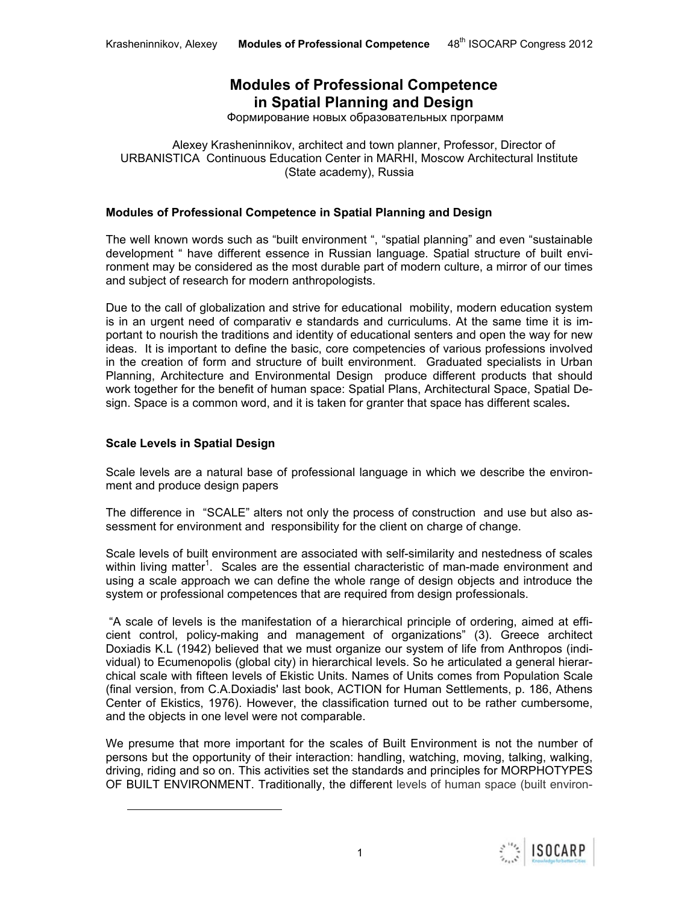# **Modules of Professional Competence in Spatial Planning and Design**

Формирование новых образовательных программ

Alexey Krasheninnikov, architect and town planner, Professor, Director of URBANISTICA Continuous Education Center in MARHI, Moscow Architectural Institute (State academy), Russia

#### **Modules of Professional Competence in Spatial Planning and Design**

The well known words such as "built environment ", "spatial planning" and even "sustainable development " have different essence in Russian language. Spatial structure of built environment may be considered as the most durable part of modern culture, a mirror of our times and subject of research for modern anthropologists.

Due to the call of globalization and strive for educational mobility, modern education system is in an urgent need of comparativ e standards and curriculums. At the same time it is important to nourish the traditions and identity of educational senters and open the way for new ideas. It is important to define the basic, core competencies of various professions involved in the creation of form and structure of built environment. Graduated specialists in Urban Planning, Architecture and Environmental Design produce different products that should work together for the benefit of human space: Spatial Plans, Architectural Space, Spatial Design. Space is a common word, and it is taken for granter that space has different scales**.** 

#### **Scale Levels in Spatial Design**

l

Scale levels are a natural base of professional language in which we describe the environment and produce design papers

The difference in "SCALE" alters not only the process of construction and use but also assessment for environment and responsibility for the client on charge of change.

Scale levels of built environment are associated with self-similarity and nestedness of scales within living matter<sup>1</sup>. Scales are the essential characteristic of man-made environment and using a scale approach we can define the whole range of design objects and introduce the system or professional competences that are required from design professionals.

 "A scale of levels is the manifestation of a hierarchical principle of ordering, aimed at efficient control, policy-making and management of organizations" (3). Greece architect Doxiadis K.L (1942) believed that we must organize our system of life from Anthropos (individual) to Ecumenopolis (global city) in hierarchical levels. So he articulated a general hierarchical scale with fifteen levels of Ekistic Units. Names of Units comes from Population Scale (final version, from C.A.Doxiadis' last book, ACTION for Human Settlements, p. 186, Athens Center of Ekistics, 1976). However, the classification turned out to be rather cumbersome, and the objects in one level were not comparable.

We presume that more important for the scales of Built Environment is not the number of persons but the opportunity of their interaction: handling, watching, moving, talking, walking, driving, riding and so on. This activities set the standards and principles for MORPHOTYPES OF BUILT ENVIRONMENT. Traditionally, the different levels of human space (built environ-

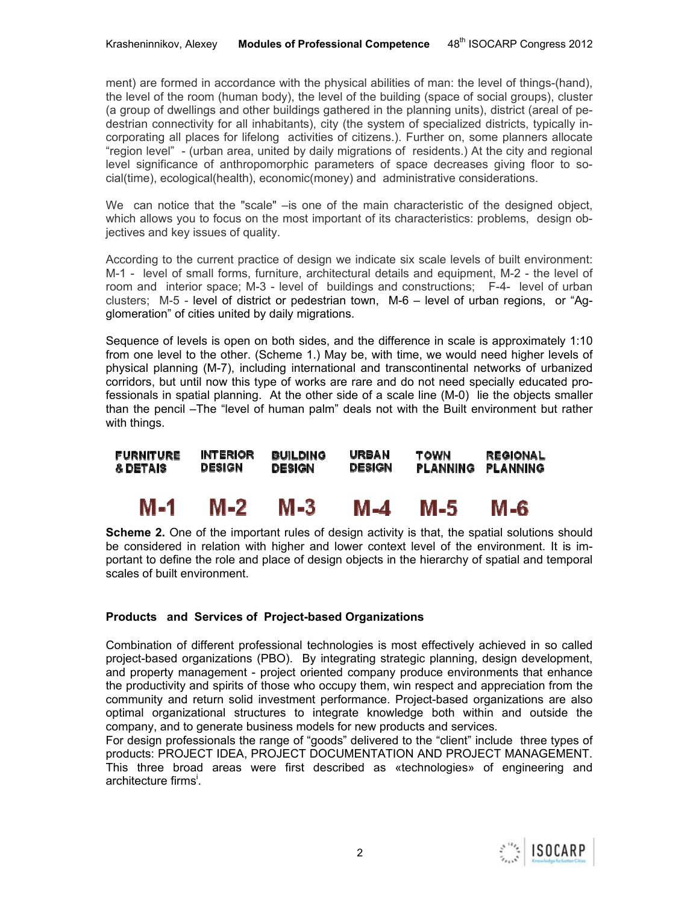ment) are formed in accordance with the physical abilities of man: the level of things-(hand), the level of the room (human body), the level of the building (space of social groups), cluster (a group of dwellings and other buildings gathered in the planning units), district (areal of pedestrian connectivity for all inhabitants), city (the system of specialized districts, typically incorporating all places for lifelong activities of citizens.). Further on, some planners allocate "region level" - (urban area, united by daily migrations of residents.) At the city and regional level significance of anthropomorphic parameters of space decreases giving floor to social(time), ecological(health), economic(money) and administrative considerations.

We can notice that the "scale" – is one of the main characteristic of the designed object, which allows you to focus on the most important of its characteristics: problems, design objectives and key issues of quality.

According to the current practice of design we indicate six scale levels of built environment: M-1 - level of small forms, furniture, architectural details and equipment, M-2 - the level of room and interior space; M-3 - level of buildings and constructions; F-4- level of urban clusters; M-5 - level of district or pedestrian town, M-6 – level of urban regions, or "Agglomeration" of cities united by daily migrations.

Sequence of levels is open on both sides, and the difference in scale is approximately 1:10 from one level to the other. (Scheme 1.) May be, with time, we would need higher levels of physical planning (M-7), including international and transcontinental networks of urbanized corridors, but until now this type of works are rare and do not need specially educated professionals in spatial planning. At the other side of a scale line (M-0) lie the objects smaller than the pencil –The "level of human palm" deals not with the Built environment but rather with things.

**INTERIOR FURNITURE BUILDING** URBAN **TOWN REGIONAL DESIGN DESIGN DESIGN PLANNING & DETAIS** PLANNING

#### M-1 M-2 M-3 M-4 M-5. M-6

**Scheme 2.** One of the important rules of design activity is that, the spatial solutions should be considered in relation with higher and lower context level of the environment. It is important to define the role and place of design objects in the hierarchy of spatial and temporal scales of built environment.

# **Products and Services of Project-based Organizations**

Combination of different professional technologies is most effectively achieved in so called project-based organizations (PBO). By integrating strategic planning, design development, and property management - project oriented company produce environments that enhance the productivity and spirits of those who occupy them, win respect and appreciation from the community and return solid investment performance. Project-based organizations are also optimal organizational structures to integrate knowledge both within and outside the company, and to generate business models for new products and services.

For design professionals the range of "goods" delivered to the "client" include three types of products: PROJECT IDEA, PROJECT DOCUMENTATION AND PROJECT MANAGEMENT. This three broad areas were first described as «technologies» of engineering and architecture firms<sup>i</sup>.

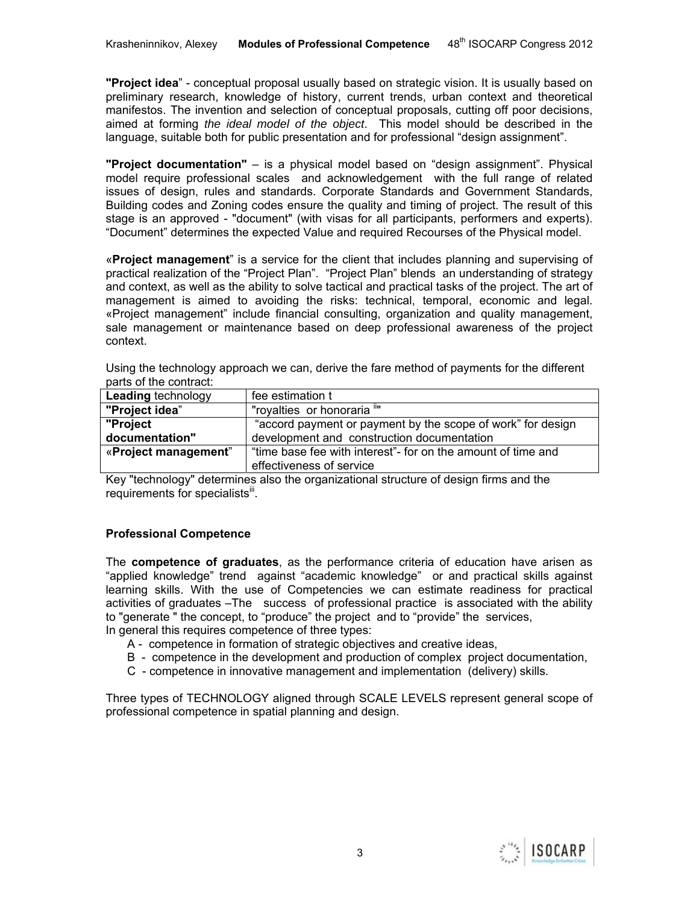**"Project idea**" - conceptual proposal usually based on strategic vision. It is usually based on preliminary research, knowledge of history, current trends, urban context and theoretical manifestos. The invention and selection of conceptual proposals, cutting off poor decisions, aimed at forming *the ideal model of the object*. This model should be described in the language, suitable both for public presentation and for professional "design assignment".

**"Project documentation"** – is a physical model based on "design assignment". Physical model require professional scales and acknowledgement with the full range of related issues of design, rules and standards. Corporate Standards and Government Standards, Building codes and Zoning codes ensure the quality and timing of project. The result of this stage is an approved - "document" (with visas for all participants, performers and experts). "Document" determines the expected Value and required Recourses of the Physical model.

«**Project management**" is a service for the client that includes planning and supervising of practical realization of the "Project Plan". "Project Plan" blends an understanding of strategy and context, as well as the ability to solve tactical and practical tasks of the project. The art of management is aimed to avoiding the risks: technical, temporal, economic and legal. «Project management" include financial consulting, organization and quality management, sale management or maintenance based on deep professional awareness of the project context.

Using the technology approach we can, derive the fare method of payments for the different parts of the contract:

| <b>Leading technology</b> | fee estimation t                                             |
|---------------------------|--------------------------------------------------------------|
| "Project idea"            | "royalties or honoraria ""                                   |
| "Project                  | "accord payment or payment by the scope of work" for design  |
| documentation"            | development and construction documentation                   |
| «Project management"      | "time base fee with interest"- for on the amount of time and |
|                           | effectiveness of service                                     |

Key "technology" determines also the organizational structure of design firms and the requirements for specialists<sup>iii</sup>.

# **Professional Competence**

The **competence of graduates**, as the performance criteria of education have arisen as "applied knowledge" trend against "academic knowledge" or and practical skills against learning skills. With the use of Competencies we can estimate readiness for practical activities of graduates –The success of professional practice is associated with the ability to "generate " the concept, to "produce" the project and to "provide" the services, In general this requires competence of three types:

- A competence in formation of strategic objectives and creative ideas,
- B competence in the development and production of complex project documentation,
- C competence in innovative management and implementation (delivery) skills.

Three types of TECHNOLOGY aligned through SCALE LEVELS represent general scope of professional competence in spatial planning and design.

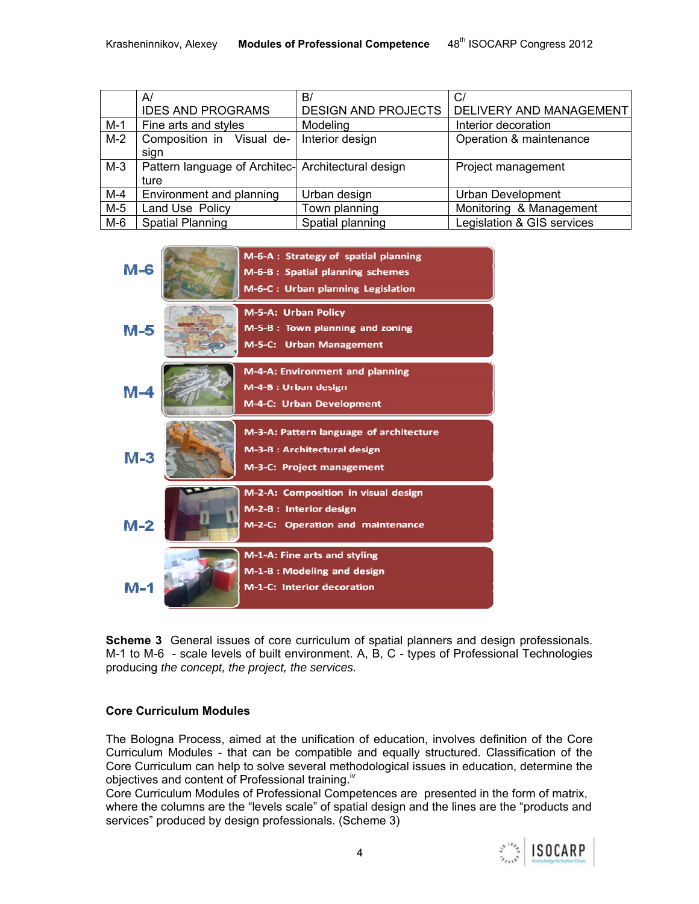|       | A                                                  | B/                         | C,                             |
|-------|----------------------------------------------------|----------------------------|--------------------------------|
|       | <b>IDES AND PROGRAMS</b>                           | <b>DESIGN AND PROJECTS</b> | <b>DELIVERY AND MANAGEMENT</b> |
| $M-1$ | Fine arts and styles                               | Modeling                   | Interior decoration            |
| $M-2$ | Composition in Visual de-                          | Interior design            | Operation & maintenance        |
|       | sign                                               |                            |                                |
| $M-3$ | Pattern language of Architec- Architectural design |                            | Project management             |
|       | ture                                               |                            |                                |
| $M-4$ | Environment and planning                           | Urban design               | <b>Urban Development</b>       |
| $M-5$ | Land Use Policy                                    | Town planning              | Monitoring & Management        |
| M-6   | <b>Spatial Planning</b>                            | Spatial planning           | Legislation & GIS services     |



**Scheme 3** General issues of core curriculum of spatial planners and design professionals. M-1 to M-6 - scale levels of built environment. A, B, C - types of Professional Technologies producing *the concept, the project, the services.* 

# **Core Curriculum Modules**

The Bologna Process, aimed at the unification of education, involves definition of the Core Curriculum Modules - that can be compatible and equally structured. Classification of the Core Curriculum can help to solve several methodological issues in education, determine the objectives and content of Professional training.<sup>iv</sup>

Core Curriculum Modules of Professional Competences are presented in the form of matrix, where the columns are the "levels scale" of spatial design and the lines are the "products and services" produced by design professionals. (Scheme 3)

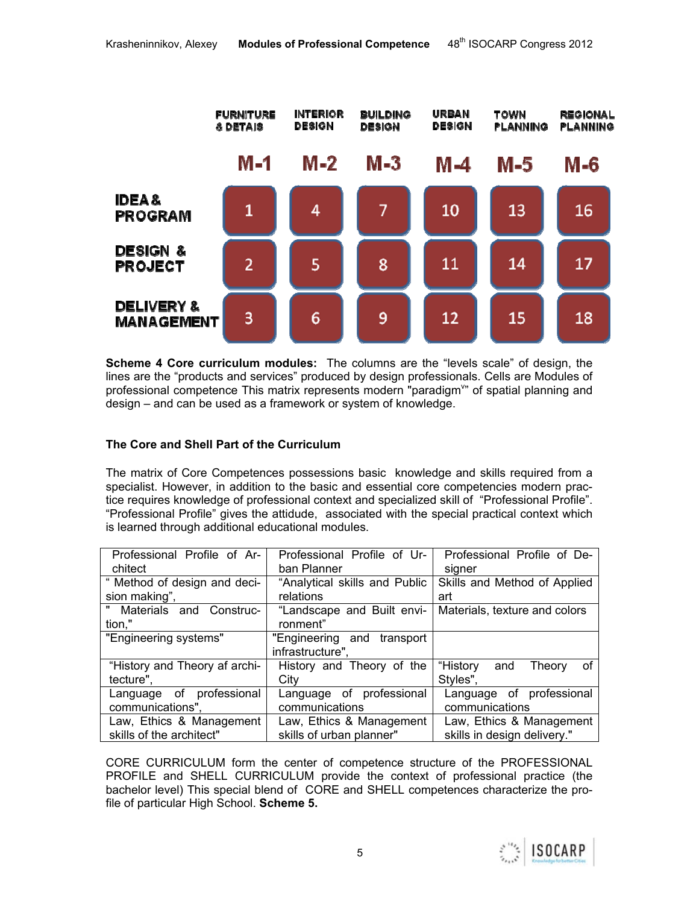

**Scheme 4 Core curriculum modules:** The columns are the "levels scale" of design, the lines are the "products and services" produced by design professionals. Cells are Modules of professional competence This matrix represents modern "paradigm" of spatial planning and design – and can be used as a framework or system of knowledge.

# **The Core and Shell Part of the Curriculum**

The matrix of Core Competences possessions basic knowledge and skills required from a specialist. However, in addition to the basic and essential core competencies modern practice requires knowledge of professional context and specialized skill of "Professional Profile". "Professional Profile" gives the attidude, associated with the special practical context which is learned through additional educational modules.

| Professional Profile of Ar-                | Professional Profile of Ur-                    | Professional Profile of De-              |
|--------------------------------------------|------------------------------------------------|------------------------------------------|
| chitect                                    | ban Planner                                    | signer                                   |
| " Method of design and deci-               | "Analytical skills and Public                  | Skills and Method of Applied             |
| sion making",                              | relations                                      | art                                      |
| Materials and Construc-<br>tion,"          | "Landscape and Built envi-<br>ronment"         | Materials, texture and colors            |
| "Engineering systems"                      | "Engineering and transport<br>infrastructure", |                                          |
| "History and Theory af archi-<br>tecture", | History and Theory of the<br>City              | "History and<br>Theory<br>οf<br>Styles", |
| Language of professional                   | Language of professional                       | Language of professional                 |
| communications",                           | communications                                 | communications                           |
| Law, Ethics & Management                   | Law, Ethics & Management                       | Law, Ethics & Management                 |
| skills of the architect"                   | skills of urban planner"                       | skills in design delivery."              |

CORE CURRICULUM form the center of competence structure of the PROFESSIONAL PROFILE and SHELL CURRICULUM provide the context of professional practice (the bachelor level) This special blend of CORE and SHELL competences characterize the profile of particular High School. **Scheme 5.** 

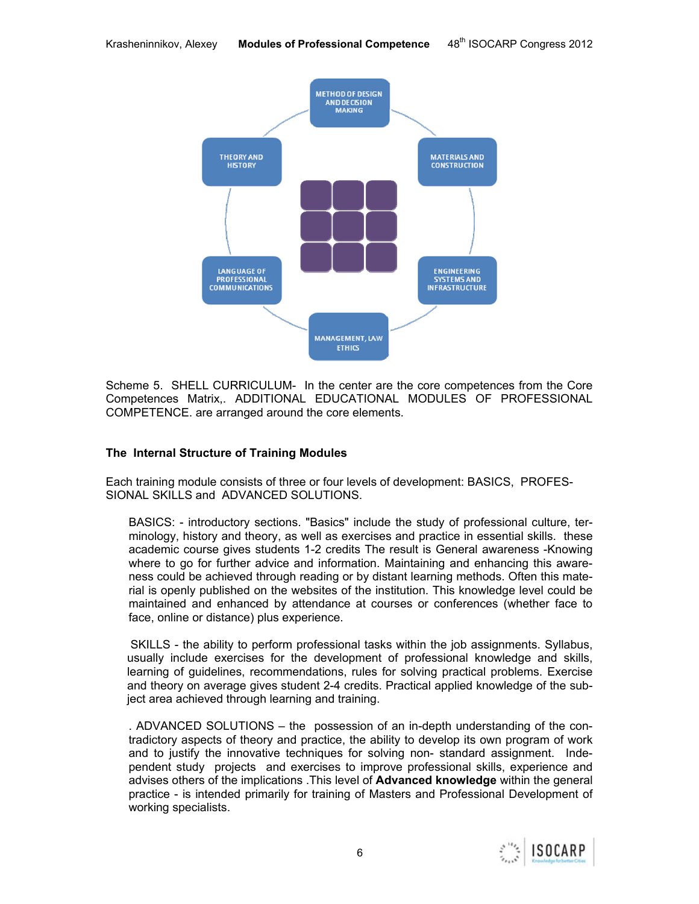

Scheme 5. SHELL CURRICULUM- In the center are the core competences from the Core Competences Matrix,. ADDITIONAL EDUCATIONAL MODULES OF PROFESSIONAL COMPETENCE. are arranged around the core elements.

# **The Internal Structure of Training Modules**

Each training module consists of three or four levels of development: BASICS, PROFES-SIONAL SKILLS and ADVANCED SOLUTIONS.

BASICS: - introductory sections. "Basics" include the study of professional culture, terminology, history and theory, as well as exercises and practice in essential skills. these academic course gives students 1-2 credits The result is General awareness -Knowing where to go for further advice and information. Maintaining and enhancing this awareness could be achieved through reading or by distant learning methods. Often this material is openly published on the websites of the institution. This knowledge level could be maintained and enhanced by attendance at courses or conferences (whether face to face, online or distance) plus experience.

 SKILLS - the ability to perform professional tasks within the job assignments. Syllabus, usually include exercises for the development of professional knowledge and skills, learning of guidelines, recommendations, rules for solving practical problems. Exercise and theory on average gives student 2-4 credits. Practical applied knowledge of the subject area achieved through learning and training.

. ADVANCED SOLUTIONS – the possession of an in-depth understanding of the contradictory aspects of theory and practice, the ability to develop its own program of work and to justify the innovative techniques for solving non- standard assignment. Independent study projects and exercises to improve professional skills, experience and advises others of the implications .This level of **Advanced knowledge** within the general practice - is intended primarily for training of Masters and Professional Development of working specialists.

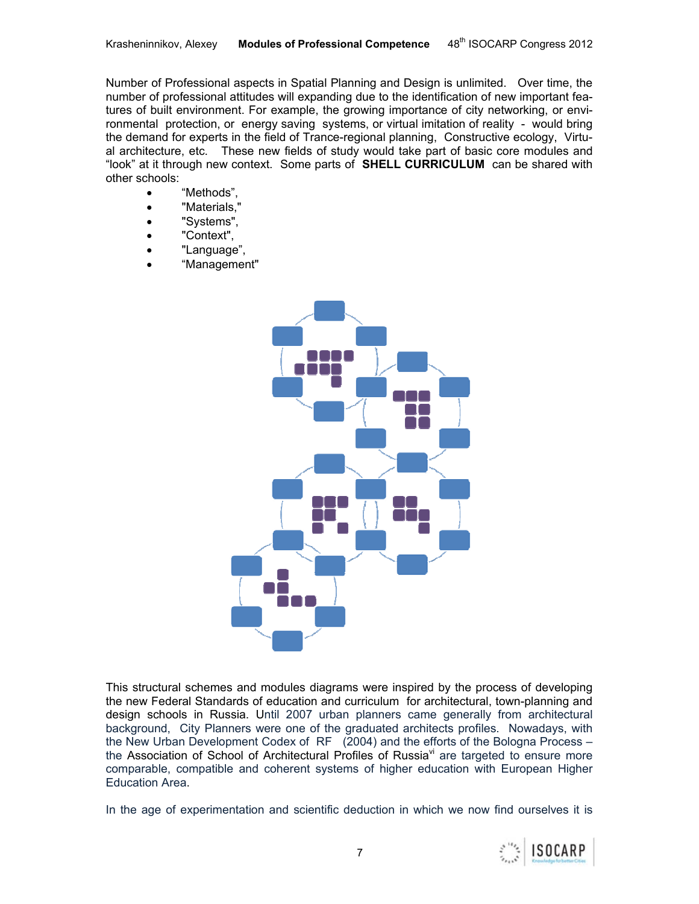Number of Professional aspects in Spatial Planning and Design is unlimited. Over time, the number of professional attitudes will expanding due to the identification of new important features of built environment. For example, the growing importance of city networking, or environmental protection, or energy saving systems, or virtual imitation of reality - would bring the demand for experts in the field of Trance-regional planning, Constructive ecology, Virtual architecture, etc. These new fields of study would take part of basic core modules and "look" at it through new context. Some parts of **SHELL CURRICULUM** can be shared with other schools:

- "Methods",
- "Materials,"
- "Systems",
- "Context",
- "Language",
- "Management"



This structural schemes and modules diagrams were inspired by the process of developing the new Federal Standards of education and curriculum for architectural, town-planning and design schools in Russia. Until 2007 urban planners came generally from architectural background, City Planners were one of the graduated architects profiles. Nowadays, with the New Urban Development Codex of RF (2004) and the efforts of the Bologna Process – the Association of School of Architectural Profiles of Russia<sup>vi</sup> are targeted to ensure more comparable, compatible and coherent systems of higher education with European Higher Education Area.

In the age of experimentation and scientific deduction in which we now find ourselves it is